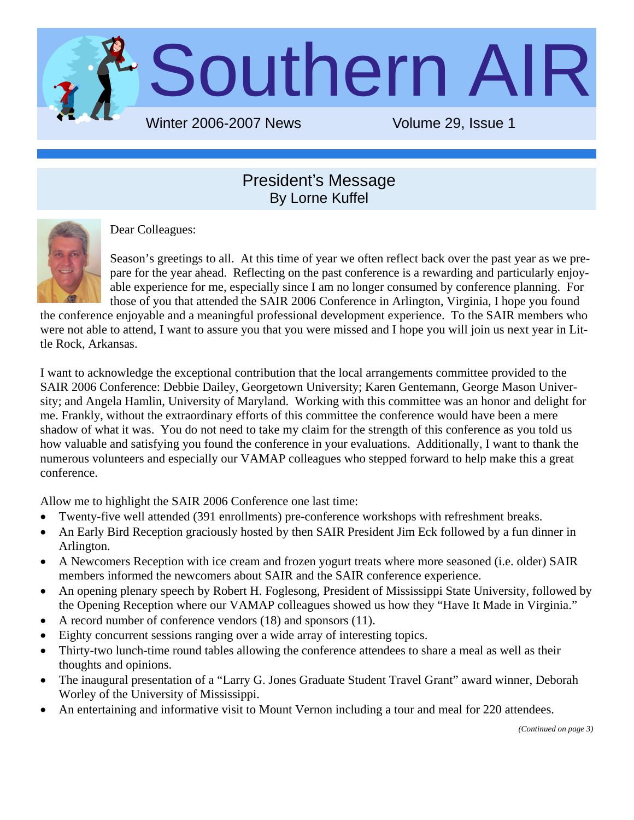

#### President's Message By Lorne Kuffel



Dear Colleagues:

Season's greetings to all. At this time of year we often reflect back over the past year as we prepare for the year ahead. Reflecting on the past conference is a rewarding and particularly enjoyable experience for me, especially since I am no longer consumed by conference planning. For those of you that attended the SAIR 2006 Conference in Arlington, Virginia, I hope you found

the conference enjoyable and a meaningful professional development experience. To the SAIR members who were not able to attend, I want to assure you that you were missed and I hope you will join us next year in Little Rock, Arkansas.

I want to acknowledge the exceptional contribution that the local arrangements committee provided to the SAIR 2006 Conference: Debbie Dailey, Georgetown University; Karen Gentemann, George Mason University; and Angela Hamlin, University of Maryland. Working with this committee was an honor and delight for me. Frankly, without the extraordinary efforts of this committee the conference would have been a mere shadow of what it was. You do not need to take my claim for the strength of this conference as you told us how valuable and satisfying you found the conference in your evaluations. Additionally, I want to thank the numerous volunteers and especially our VAMAP colleagues who stepped forward to help make this a great conference.

Allow me to highlight the SAIR 2006 Conference one last time:

- Twenty-five well attended (391 enrollments) pre-conference workshops with refreshment breaks.
- An Early Bird Reception graciously hosted by then SAIR President Jim Eck followed by a fun dinner in Arlington.
- A Newcomers Reception with ice cream and frozen yogurt treats where more seasoned (i.e. older) SAIR members informed the newcomers about SAIR and the SAIR conference experience.
- An opening plenary speech by Robert H. Foglesong, President of Mississippi State University, followed by the Opening Reception where our VAMAP colleagues showed us how they "Have It Made in Virginia."
- A record number of conference vendors (18) and sponsors (11).
- Eighty concurrent sessions ranging over a wide array of interesting topics.
- Thirty-two lunch-time round tables allowing the conference attendees to share a meal as well as their thoughts and opinions.
- The inaugural presentation of a "Larry G. Jones Graduate Student Travel Grant" award winner, Deborah Worley of the University of Mississippi.
- An entertaining and informative visit to Mount Vernon including a tour and meal for 220 attendees.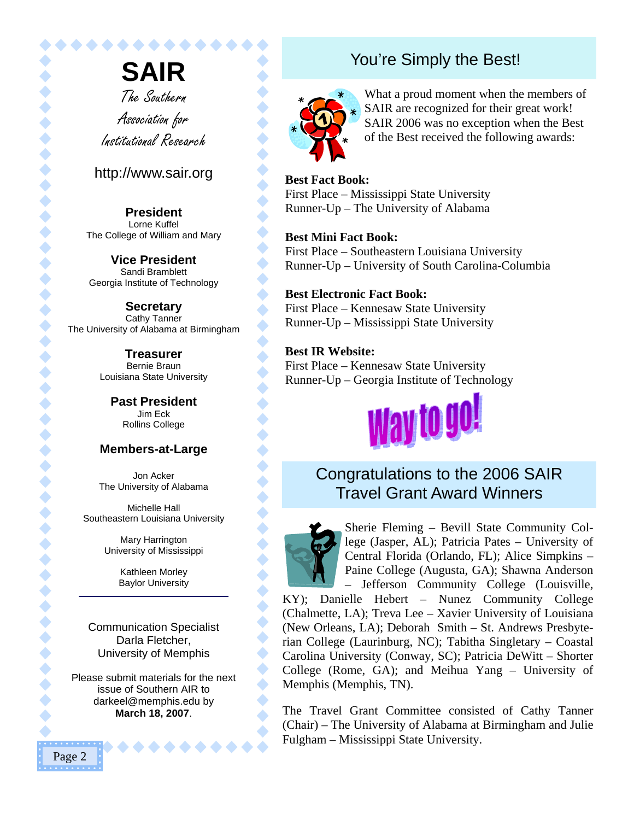**SAIR** The Southern Association for Institutional Research

............

#### http://www.sair.org

**President**  Lorne Kuffel The College of William and Mary

**Vice President**  Sandi Bramblett Georgia Institute of Technology

**Secretary**  Cathy Tanner The University of Alabama at Birmingham

> **Treasurer**  Bernie Braun Louisiana State University

> > **Past President**  Jim Eck Rollins College

#### **Members-at-Large**

Jon Acker The University of Alabama

Michelle Hall Southeastern Louisiana University

> Mary Harrington University of Mississippi

> > Kathleen Morley Baylor University

Communication Specialist Darla Fletcher, University of Memphis

Please submit materials for the next issue of Southern AIR to darkeel@memphis.edu by **March 18, 2007**.

## You're Simply the Best!



 $\blacklozenge$ 

 $\bullet$ 

 $\bullet$ 

 $\blacklozenge$  $\blacklozenge$ 

 $\blacklozenge$ 

 $\blacklozenge$ 

 $\blacklozenge$ 

 $\bullet$ 

 $\bullet$ 

 $\blacklozenge$  $\blacklozenge$ 

 $\bullet$ 

 $\blacklozenge$ 

 $\bullet$ 

 $\bullet$ 

 $\bullet$ 

 $\bullet$ 

 $\blacklozenge$ 

 $\begin{matrix} \bullet \\ \bullet \end{matrix}$ 

 $\blacklozenge$ 

 $\blacklozenge$  $\blacklozenge$ 

 $\blacklozenge$ 

 $\blacklozenge$ 

 $\blacklozenge$  $\blacklozenge$ 

 $\blacklozenge$  $\blacklozenge$ 

 $\blacklozenge$ 

 $\blacklozenge$ 

 $\bullet$ 

What a proud moment when the members of SAIR are recognized for their great work! SAIR 2006 was no exception when the Best of the Best received the following awards:

**Best Fact Book:**  First Place – Mississippi State University Runner-Up – The University of Alabama

#### **Best Mini Fact Book:**

First Place – Southeastern Louisiana University Runner-Up – University of South Carolina-Columbia

#### **Best Electronic Fact Book:**

First Place – Kennesaw State University Runner-Up – Mississippi State University

#### **Best IR Website:**

First Place – Kennesaw State University Runner-Up – Georgia Institute of Technology



#### Congratulations to the 2006 SAIR Travel Grant Award Winners



Sherie Fleming – Bevill State Community College (Jasper, AL); Patricia Pates – University of Central Florida (Orlando, FL); Alice Simpkins – Paine College (Augusta, GA); Shawna Anderson

– Jefferson Community College (Louisville, KY); Danielle Hebert – Nunez Community College (Chalmette, LA); Treva Lee – Xavier University of Louisiana (New Orleans, LA); Deborah Smith – St. Andrews Presbyterian College (Laurinburg, NC); Tabitha Singletary – Coastal Carolina University (Conway, SC); Patricia DeWitt – Shorter College (Rome, GA); and Meihua Yang – University of Memphis (Memphis, TN).

The Travel Grant Committee consisted of Cathy Tanner (Chair) – The University of Alabama at Birmingham and Julie Fulgham – Mississippi State University.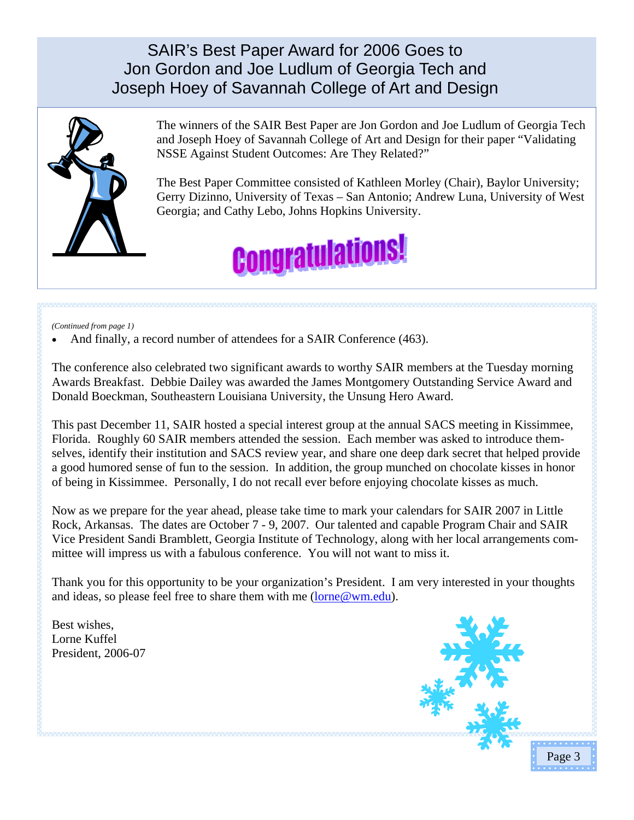SAIR's Best Paper Award for 2006 Goes to Jon Gordon and Joe Ludlum of Georgia Tech and Joseph Hoey of Savannah College of Art and Design



The winners of the SAIR Best Paper are Jon Gordon and Joe Ludlum of Georgia Tech and Joseph Hoey of Savannah College of Art and Design for their paper "Validating NSSE Against Student Outcomes: Are They Related?"

The Best Paper Committee consisted of Kathleen Morley (Chair), Baylor University; Gerry Dizinno, University of Texas – San Antonio; Andrew Luna, University of West Georgia; and Cathy Lebo, Johns Hopkins University.



*(Continued from page 1)* 

And finally, a record number of attendees for a SAIR Conference (463).

The conference also celebrated two significant awards to worthy SAIR members at the Tuesday morning Awards Breakfast. Debbie Dailey was awarded the James Montgomery Outstanding Service Award and Donald Boeckman, Southeastern Louisiana University, the Unsung Hero Award.

This past December 11, SAIR hosted a special interest group at the annual SACS meeting in Kissimmee, Florida. Roughly 60 SAIR members attended the session. Each member was asked to introduce themselves, identify their institution and SACS review year, and share one deep dark secret that helped provide a good humored sense of fun to the session. In addition, the group munched on chocolate kisses in honor of being in Kissimmee. Personally, I do not recall ever before enjoying chocolate kisses as much.

Now as we prepare for the year ahead, please take time to mark your calendars for SAIR 2007 in Little Rock, Arkansas. The dates are October 7 - 9, 2007. Our talented and capable Program Chair and SAIR Vice President Sandi Bramblett, Georgia Institute of Technology, along with her local arrangements committee will impress us with a fabulous conference. You will not want to miss it.

Thank you for this opportunity to be your organization's President. I am very interested in your thoughts and ideas, so please feel free to share them with me (lorne@wm.edu).

Best wishes, Lorne Kuffel President, 2006-07

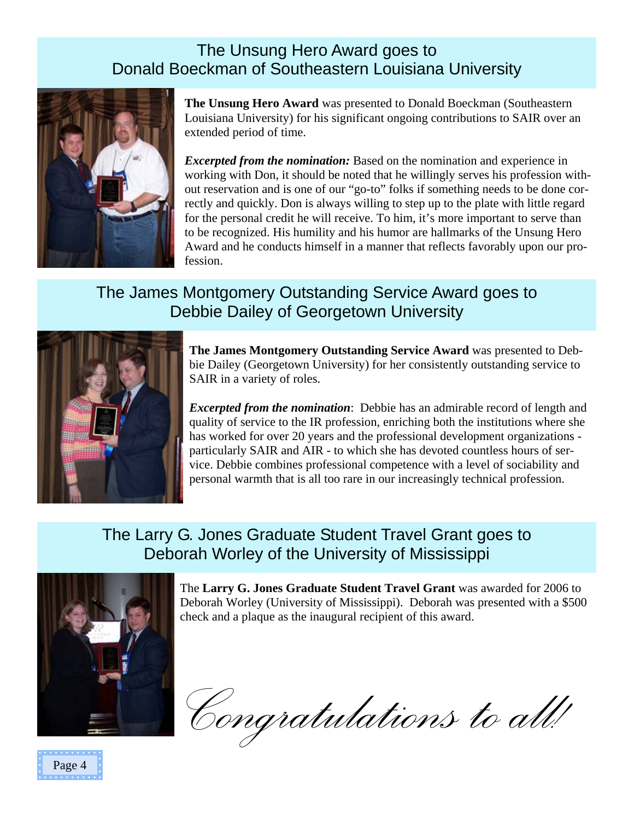## The Unsung Hero Award goes to Donald Boeckman of Southeastern Louisiana University



**The Unsung Hero Award** was presented to Donald Boeckman (Southeastern Louisiana University) for his significant ongoing contributions to SAIR over an extended period of time.

*Excerpted from the nomination:* Based on the nomination and experience in working with Don, it should be noted that he willingly serves his profession without reservation and is one of our "go-to" folks if something needs to be done correctly and quickly. Don is always willing to step up to the plate with little regard for the personal credit he will receive. To him, it's more important to serve than to be recognized. His humility and his humor are hallmarks of the Unsung Hero Award and he conducts himself in a manner that reflects favorably upon our profession.

## The James Montgomery Outstanding Service Award goes to Debbie Dailey of Georgetown University



**The James Montgomery Outstanding Service Award** was presented to Debbie Dailey (Georgetown University) for her consistently outstanding service to SAIR in a variety of roles.

*Excerpted from the nomination*: Debbie has an admirable record of length and quality of service to the IR profession, enriching both the institutions where she has worked for over 20 years and the professional development organizations particularly SAIR and AIR - to which she has devoted countless hours of service. Debbie combines professional competence with a level of sociability and personal warmth that is all too rare in our increasingly technical profession.

## The Larry G. Jones Graduate Student Travel Grant goes to Deborah Worley of the University of Mississippi





The **Larry G. Jones Graduate Student Travel Grant** was awarded for 2006 to Deborah Worley (University of Mississippi). Deborah was presented with a \$500 check and a plaque as the inaugural recipient of this award.

*Congratulations to all!*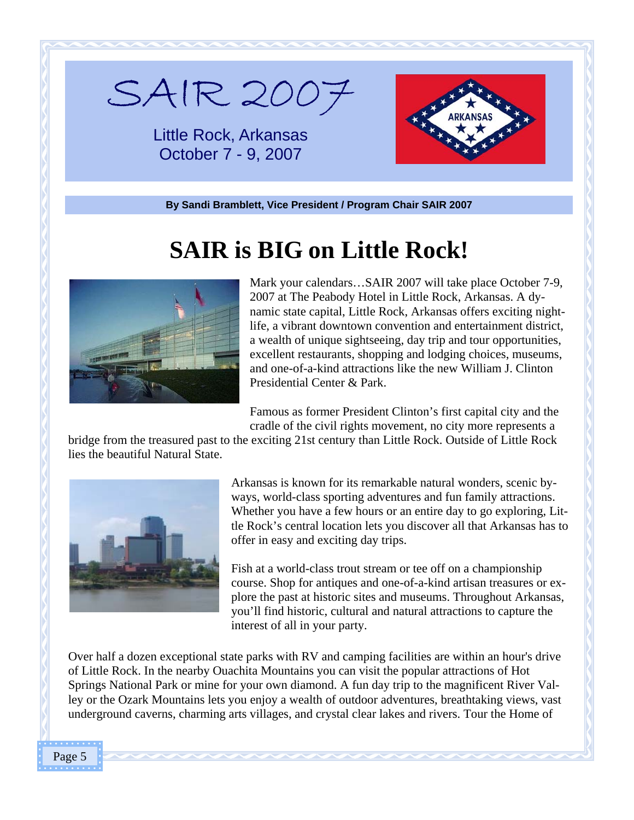

Little Rock, Arkansas October 7 - 9, 2007



**By Sandi Bramblett, Vice President / Program Chair SAIR 2007** 

## **SAIR is BIG on Little Rock!**



Mark your calendars…SAIR 2007 will take place October 7-9, 2007 at The Peabody Hotel in Little Rock, Arkansas. A dynamic state capital, Little Rock, Arkansas offers exciting nightlife, a vibrant downtown convention and entertainment district, a wealth of unique sightseeing, day trip and tour opportunities, excellent restaurants, shopping and lodging choices, museums, and one-of-a-kind attractions like the new William J. Clinton Presidential Center & Park.

Famous as former President Clinton's first capital city and the cradle of the civil rights movement, no city more represents a

bridge from the treasured past to the exciting 21st century than Little Rock. Outside of Little Rock lies the beautiful Natural State.



Arkansas is known for its remarkable natural wonders, scenic byways, world-class sporting adventures and fun family attractions. Whether you have a few hours or an entire day to go exploring, Little Rock's central location lets you discover all that Arkansas has to offer in easy and exciting day trips.

Fish at a world-class trout stream or tee off on a championship course. Shop for antiques and one-of-a-kind artisan treasures or explore the past at historic sites and museums. Throughout Arkansas, you'll find historic, cultural and natural attractions to capture the interest of all in your party.

Over half a dozen exceptional state parks with RV and camping facilities are within an hour's drive of Little Rock. In the nearby Ouachita Mountains you can visit the popular attractions of Hot Springs National Park or mine for your own diamond. A fun day trip to the magnificent River Valley or the Ozark Mountains lets you enjoy a wealth of outdoor adventures, breathtaking views, vast underground caverns, charming arts villages, and crystal clear lakes and rivers. Tour the Home of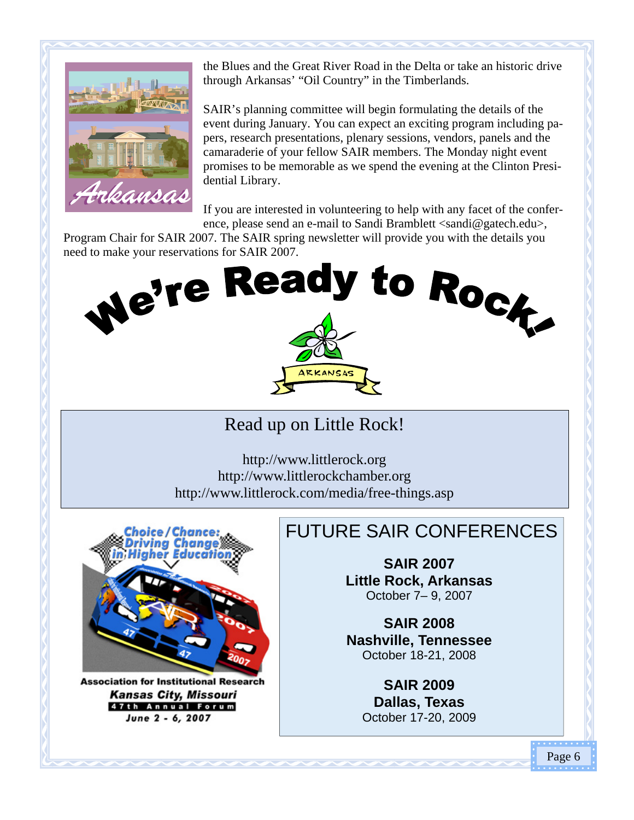

the Blues and the Great River Road in the Delta or take an historic drive through Arkansas' "Oil Country" in the Timberlands.

SAIR's planning committee will begin formulating the details of the event during January. You can expect an exciting program including papers, research presentations, plenary sessions, vendors, panels and the camaraderie of your fellow SAIR members. The Monday night event promises to be memorable as we spend the evening at the Clinton Presidential Library.

If you are interested in volunteering to help with any facet of the conference, please send an e-mail to Sandi Bramblett <sandi@gatech.edu>,

Program Chair for SAIR 2007. The SAIR spring newsletter will provide you with the details you



Read up on Little Rock!

http://www.littlerock.org http://www.littlerockchamber.org http://www.littlerock.com/media/free-things.asp



**Association for Institutional Researd Kansas City, Missouri** 47th Annual Forum June 2 - 6, 2007

## FUTURE SAIR CONFERENCES

**SAIR 2007 Little Rock, Arkansas**  October 7– 9, 2007

**SAIR 2008 Nashville, Tennessee** October 18-21, 2008

> **SAIR 2009 Dallas, Texas** October 17-20, 2009

> > Page 6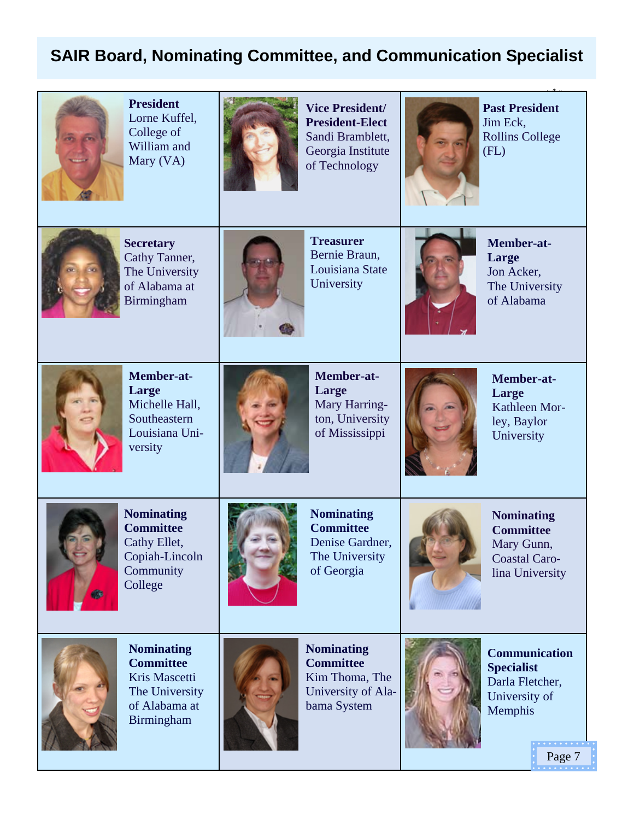#### **SAIR Board, Nominating Committee, and Communication Specialist**



**President**  Lorne Kuffel, College of William and Mary (VA)



**Vice President/ President-Elect**  Sandi Bramblett, Georgia Institute of Technology



**Past President**  Jim Eck, Rollins College (FL)



**Secretary**  Cathy Tanner, The University of Alabama at Birmingham



**Treasurer**  Bernie Braun, Louisiana State **University** 



**Member-at-Large**  Jon Acker, The University of Alabama



**Member-at-Large**  Michelle Hall, **Southeastern** Louisiana University



**Member-at-Large**  Mary Harrington, University of Mississippi



**Member-at-Large**  Kathleen Morley, Baylor **University** 



**Nominating Committee**  Cathy Ellet, Copiah-Lincoln **Community** College



**Nominating Committee**  Denise Gardner, The University of Georgia



**Nominating Committee**  Mary Gunn, Coastal Carolina University



**Nominating Committee**  Kris Mascetti The University of Alabama at Birmingham



**Nominating Committee**  Kim Thoma, The University of Alabama System



**Communication Specialist**  Darla Fletcher, University of Memphis

Page 7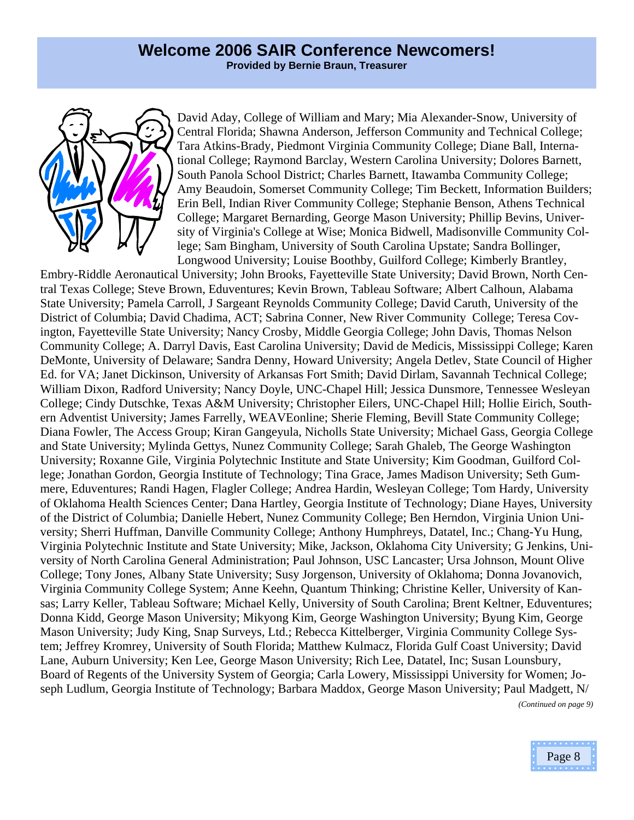

David Aday, College of William and Mary; Mia Alexander-Snow, University of Central Florida; Shawna Anderson, Jefferson Community and Technical College; Tara Atkins-Brady, Piedmont Virginia Community College; Diane Ball, International College; Raymond Barclay, Western Carolina University; Dolores Barnett, South Panola School District; Charles Barnett, Itawamba Community College; Amy Beaudoin, Somerset Community College; Tim Beckett, Information Builders; Erin Bell, Indian River Community College; Stephanie Benson, Athens Technical College; Margaret Bernarding, George Mason University; Phillip Bevins, University of Virginia's College at Wise; Monica Bidwell, Madisonville Community College; Sam Bingham, University of South Carolina Upstate; Sandra Bollinger, Longwood University; Louise Boothby, Guilford College; Kimberly Brantley,

Embry-Riddle Aeronautical University; John Brooks, Fayetteville State University; David Brown, North Central Texas College; Steve Brown, Eduventures; Kevin Brown, Tableau Software; Albert Calhoun, Alabama State University; Pamela Carroll, J Sargeant Reynolds Community College; David Caruth, University of the District of Columbia; David Chadima, ACT; Sabrina Conner, New River Community College; Teresa Covington, Fayetteville State University; Nancy Crosby, Middle Georgia College; John Davis, Thomas Nelson Community College; A. Darryl Davis, East Carolina University; David de Medicis, Mississippi College; Karen DeMonte, University of Delaware; Sandra Denny, Howard University; Angela Detlev, State Council of Higher Ed. for VA; Janet Dickinson, University of Arkansas Fort Smith; David Dirlam, Savannah Technical College; William Dixon, Radford University; Nancy Doyle, UNC-Chapel Hill; Jessica Dunsmore, Tennessee Wesleyan College; Cindy Dutschke, Texas A&M University; Christopher Eilers, UNC-Chapel Hill; Hollie Eirich, Southern Adventist University; James Farrelly, WEAVEonline; Sherie Fleming, Bevill State Community College; Diana Fowler, The Access Group; Kiran Gangeyula, Nicholls State University; Michael Gass, Georgia College and State University; Mylinda Gettys, Nunez Community College; Sarah Ghaleb, The George Washington University; Roxanne Gile, Virginia Polytechnic Institute and State University; Kim Goodman, Guilford College; Jonathan Gordon, Georgia Institute of Technology; Tina Grace, James Madison University; Seth Gummere, Eduventures; Randi Hagen, Flagler College; Andrea Hardin, Wesleyan College; Tom Hardy, University of Oklahoma Health Sciences Center; Dana Hartley, Georgia Institute of Technology; Diane Hayes, University of the District of Columbia; Danielle Hebert, Nunez Community College; Ben Herndon, Virginia Union University; Sherri Huffman, Danville Community College; Anthony Humphreys, Datatel, Inc.; Chang-Yu Hung, Virginia Polytechnic Institute and State University; Mike, Jackson, Oklahoma City University; G Jenkins, University of North Carolina General Administration; Paul Johnson, USC Lancaster; Ursa Johnson, Mount Olive College; Tony Jones, Albany State University; Susy Jorgenson, University of Oklahoma; Donna Jovanovich, Virginia Community College System; Anne Keehn, Quantum Thinking; Christine Keller, University of Kansas; Larry Keller, Tableau Software; Michael Kelly, University of South Carolina; Brent Keltner, Eduventures; Donna Kidd, George Mason University; Mikyong Kim, George Washington University; Byung Kim, George Mason University; Judy King, Snap Surveys, Ltd.; Rebecca Kittelberger, Virginia Community College System; Jeffrey Kromrey, University of South Florida; Matthew Kulmacz, Florida Gulf Coast University; David Lane, Auburn University; Ken Lee, George Mason University; Rich Lee, Datatel, Inc; Susan Lounsbury, Board of Regents of the University System of Georgia; Carla Lowery, Mississippi University for Women; Joseph Ludlum, Georgia Institute of Technology; Barbara Maddox, George Mason University; Paul Madgett, N/ *(Continued on page 9)* 

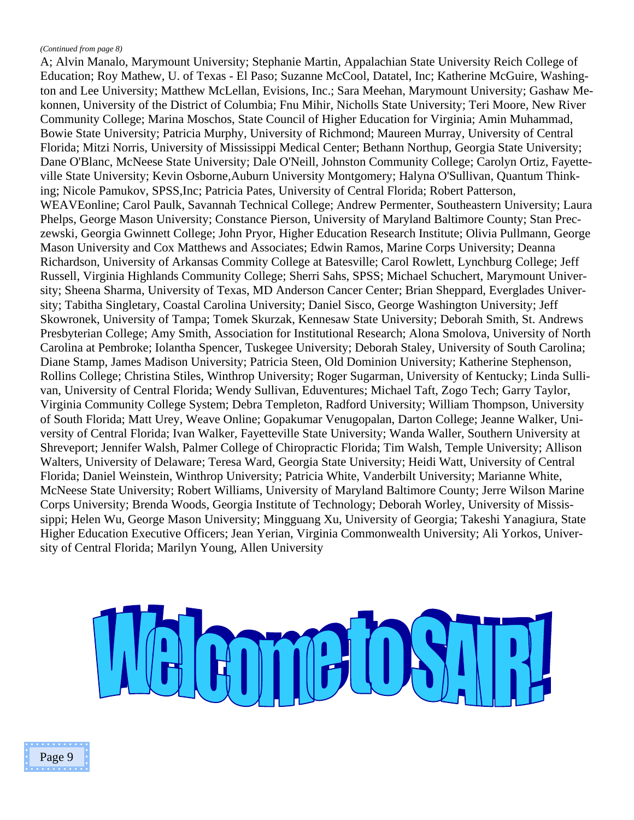#### *(Continued from page 8)*

A; Alvin Manalo, Marymount University; Stephanie Martin, Appalachian State University Reich College of Education; Roy Mathew, U. of Texas - El Paso; Suzanne McCool, Datatel, Inc; Katherine McGuire, Washington and Lee University; Matthew McLellan, Evisions, Inc.; Sara Meehan, Marymount University; Gashaw Mekonnen, University of the District of Columbia; Fnu Mihir, Nicholls State University; Teri Moore, New River Community College; Marina Moschos, State Council of Higher Education for Virginia; Amin Muhammad, Bowie State University; Patricia Murphy, University of Richmond; Maureen Murray, University of Central Florida; Mitzi Norris, University of Mississippi Medical Center; Bethann Northup, Georgia State University; Dane O'Blanc, McNeese State University; Dale O'Neill, Johnston Community College; Carolyn Ortiz, Fayetteville State University; Kevin Osborne,Auburn University Montgomery; Halyna O'Sullivan, Quantum Thinking; Nicole Pamukov, SPSS,Inc; Patricia Pates, University of Central Florida; Robert Patterson, WEAVEonline; Carol Paulk, Savannah Technical College; Andrew Permenter, Southeastern University; Laura Phelps, George Mason University; Constance Pierson, University of Maryland Baltimore County; Stan Preczewski, Georgia Gwinnett College; John Pryor, Higher Education Research Institute; Olivia Pullmann, George Mason University and Cox Matthews and Associates; Edwin Ramos, Marine Corps University; Deanna Richardson, University of Arkansas Commity College at Batesville; Carol Rowlett, Lynchburg College; Jeff Russell, Virginia Highlands Community College; Sherri Sahs, SPSS; Michael Schuchert, Marymount University; Sheena Sharma, University of Texas, MD Anderson Cancer Center; Brian Sheppard, Everglades University; Tabitha Singletary, Coastal Carolina University; Daniel Sisco, George Washington University; Jeff Skowronek, University of Tampa; Tomek Skurzak, Kennesaw State University; Deborah Smith, St. Andrews Presbyterian College; Amy Smith, Association for Institutional Research; Alona Smolova, University of North Carolina at Pembroke; Iolantha Spencer, Tuskegee University; Deborah Staley, University of South Carolina; Diane Stamp, James Madison University; Patricia Steen, Old Dominion University; Katherine Stephenson, Rollins College; Christina Stiles, Winthrop University; Roger Sugarman, University of Kentucky; Linda Sullivan, University of Central Florida; Wendy Sullivan, Eduventures; Michael Taft, Zogo Tech; Garry Taylor, Virginia Community College System; Debra Templeton, Radford University; William Thompson, University of South Florida; Matt Urey, Weave Online; Gopakumar Venugopalan, Darton College; Jeanne Walker, University of Central Florida; Ivan Walker, Fayetteville State University; Wanda Waller, Southern University at Shreveport; Jennifer Walsh, Palmer College of Chiropractic Florida; Tim Walsh, Temple University; Allison Walters, University of Delaware; Teresa Ward, Georgia State University; Heidi Watt, University of Central Florida; Daniel Weinstein, Winthrop University; Patricia White, Vanderbilt University; Marianne White, McNeese State University; Robert Williams, University of Maryland Baltimore County; Jerre Wilson Marine Corps University; Brenda Woods, Georgia Institute of Technology; Deborah Worley, University of Mississippi; Helen Wu, George Mason University; Mingguang Xu, University of Georgia; Takeshi Yanagiura, State Higher Education Executive Officers; Jean Yerian, Virginia Commonwealth University; Ali Yorkos, University of Central Florida; Marilyn Young, Allen University



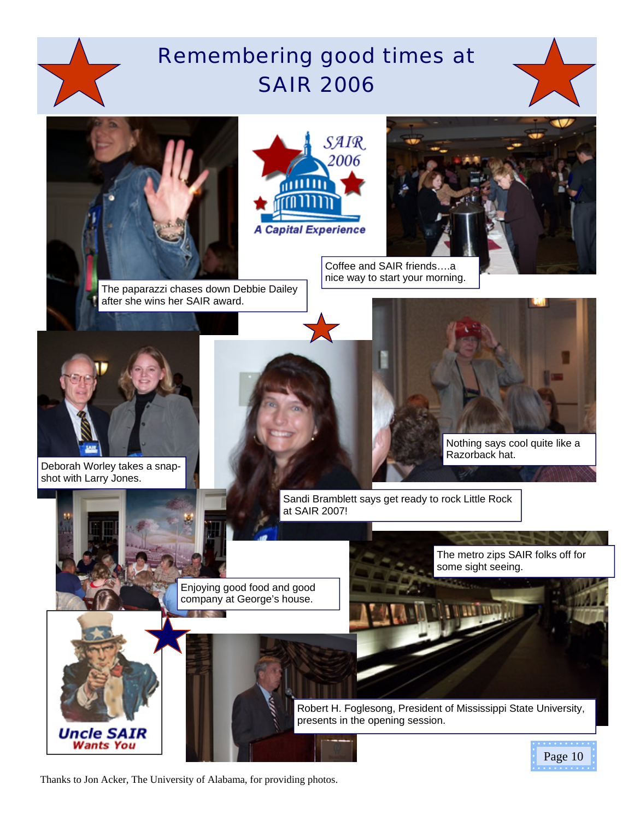# Remembering good times at SAIR 2006







Coffee and SAIR friends….a nice way to start your morning.

Deborah Worley takes a snapshot with Larry Jones.

> Uncle SAIR **Wants You**



Sandi Bramblett says get ready to rock Little Rock at SAIR 2007!

presents in the opening session.

Robert H. Foglesong, President of Mississippi State University,

Enjoying good food and good company at George's house.

The metro zips SAIR folks off for some sight seeing.

Nothing says cool quite like a

Razorback hat.

Page 10

Thanks to Jon Acker, The University of Alabama, for providing photos.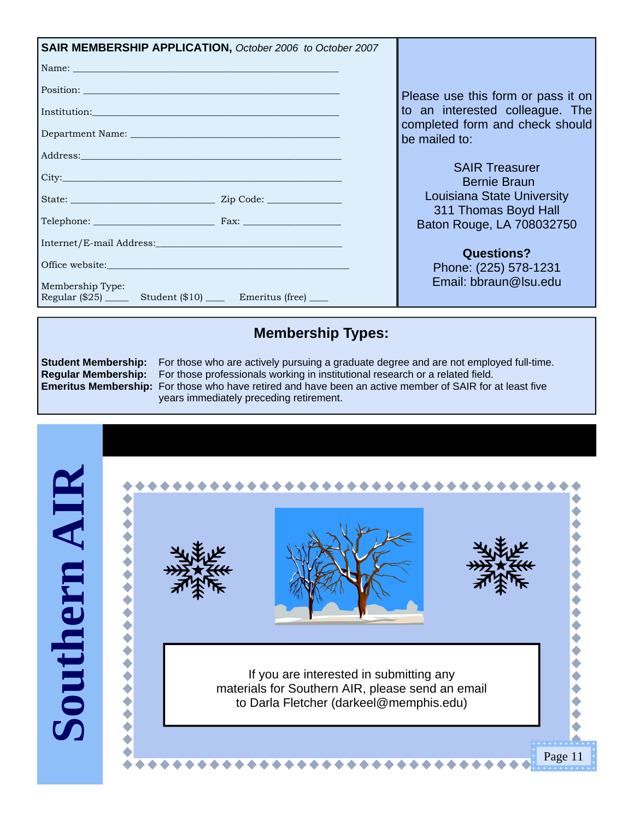| SAIR MEMBERSHIP APPLICATION, October 2006 to October 2007                                                                                                                                                                           |                                                   |
|-------------------------------------------------------------------------------------------------------------------------------------------------------------------------------------------------------------------------------------|---------------------------------------------------|
| Name: Name:                                                                                                                                                                                                                         |                                                   |
| Position: Note and the set of the set of the set of the set of the set of the set of the set of the set of the set of the set of the set of the set of the set of the set of the set of the set of the set of the set of the s      | Please use this form or pass it on                |
| Institution: <u>Constantinological control of the second control of</u> the second control of the second control of the second control of the second control of the second control of the second control of the second control of t | to an interested colleague. The                   |
|                                                                                                                                                                                                                                     | completed form and check should<br>be mailed to:  |
| Address: No. 2014 19:30 Address:                                                                                                                                                                                                    |                                                   |
| City: City:                                                                                                                                                                                                                         | <b>SAIR Treasurer</b><br><b>Bernie Braun</b>      |
|                                                                                                                                                                                                                                     | Louisiana State University                        |
| Telephone: Fax: Fax:                                                                                                                                                                                                                | 311 Thomas Boyd Hall<br>Baton Rouge, LA 708032750 |
|                                                                                                                                                                                                                                     | <b>Questions?</b>                                 |
|                                                                                                                                                                                                                                     | Phone: (225) 578-1231                             |
| Membership Type:<br>Regular (\$25) ______ Student (\$10) ______ Emeritus (free) _____                                                                                                                                               | Email: bbraun@Isu.edu                             |

#### **Membership Types:**

**Student Membership:** For those who are actively pursuing a graduate degree and are not employed full-time. **Regular Membership:** For those professionals working in institutional research or a related field. **Emeritus Membership:** For those who have retired and have been an active member of SAIR for at least five years immediately preceding retirement.